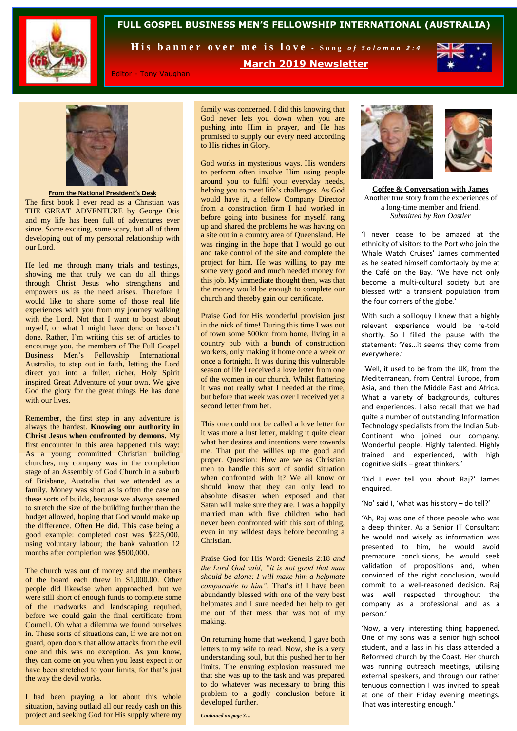

## **FULL GOSPEL BUSINESS MEN'S FELLOWSHIP INTERNATIONAL (AUSTRALIA)**

His banner over me is love - Song of Solomon 2:4

#### **March 2019 Newsletter**



Editor - Tony Vaughan

family was concerned. I did this knowing that God never lets you down when you are pushing into Him in prayer, and He has promised to supply our every need according to His riches in Glory.

God works in mysterious ways. His wonders to perform often involve Him using people around you to fulfil your everyday needs, helping you to meet life's challenges. As God would have it, a fellow Company Director from a construction firm I had worked in before going into business for myself, rang up and shared the problems he was having on a site out in a country area of Queensland. He was ringing in the hope that I would go out and take control of the site and complete the project for him. He was willing to pay me some very good and much needed money for this job. My immediate thought then, was that the money would be enough to complete our church and thereby gain our certificate.

Praise God for His wonderful provision just in the nick of time! During this time I was out of town some 500km from home, living in a country pub with a bunch of construction workers, only making it home once a week or once a fortnight. It was during this vulnerable season of life I received a love letter from one of the women in our church. Whilst flattering it was not really what I needed at the time, but before that week was over I received yet a second letter from her.

This one could not be called a love letter for it was more a lust letter, making it quite clear what her desires and intentions were towards me. That put the willies up me good and proper. Question: How are we as Christian men to handle this sort of sordid situation when confronted with it? We all know or should know that they can only lead to absolute disaster when exposed and that Satan will make sure they are. I was a happily married man with five children who had never been confronted with this sort of thing, even in my wildest days before becoming a Christian.

Praise God for His Word: Genesis 2:18 *and the Lord God said, "it is not good that man should be alone: I will make him a helpmate comparable to him".* That's it! I have been abundantly blessed with one of the very best helpmates and I sure needed her help to get me out of that mess that was not of my making.

On returning home that weekend, I gave both letters to my wife to read. Now, she is a very understanding soul, but this pushed her to her limits. The ensuing explosion reassured me that she was up to the task and was prepared to do whatever was necessary to bring this problem to a godly conclusion before it developed further.

*Continued on page 3…*



**Coffee & Conversation with James** Another true story from the experiences of a long-time member and friend. *Submitted by Ron Oastler*

'I never cease to be amazed at the ethnicity of visitors to the Port who join the Whale Watch Cruises' James commented as he seated himself comfortably by me at the Café on the Bay. 'We have not only become a multi-cultural society but are blessed with a transient population from the four corners of the globe.'

With such a soliloquy I knew that a highly relevant experience would be re-told shortly. So I filled the pause with the statement: 'Yes…it seems they come from everywhere.'

'Well, it used to be from the UK, from the Mediterranean, from Central Europe, from Asia, and then the Middle East and Africa. What a variety of backgrounds, cultures and experiences. I also recall that we had quite a number of outstanding Information Technology specialists from the Indian Sub-Continent who joined our company. Wonderful people. Highly talented. Highly trained and experienced, with high cognitive skills – great thinkers.'

'Did I ever tell you about Raj?' James enquired.

'No' said I, 'what was his story – do tell?'

'Ah, Raj was one of those people who was a deep thinker. As a Senior IT Consultant he would nod wisely as information was presented to him, he would avoid premature conclusions, he would seek validation of propositions and, when convinced of the right conclusion, would commit to a well-reasoned decision. Raj was well respected throughout the company as a professional and as a person.'

'Now, a very interesting thing happened. One of my sons was a senior high school student, and a lass in his class attended a Reformed church by the Coast. Her church was running outreach meetings, utilising external speakers, and through our rather tenuous connection I was invited to speak at one of their Friday evening meetings. That was interesting enough.'



**From the National President's Desk**

The first book I ever read as a Christian was THE GREAT ADVENTURE by George Otis and my life has been full of adventures ever since. Some exciting, some scary, but all of them developing out of my personal relationship with our Lord.

He led me through many trials and testings, showing me that truly we can do all things through Christ Jesus who strengthens and empowers us as the need arises. Therefore I would like to share some of those real life experiences with you from my journey walking with the Lord. Not that I want to boast about myself, or what I might have done or haven't done. Rather, I'm writing this set of articles to encourage you, the members of The Full Gospel Business Men's Fellowship International Australia, to step out in faith, letting the Lord direct you into a fuller, richer, Holy Spirit inspired Great Adventure of your own. We give God the glory for the great things He has done with our lives.

Remember, the first step in any adventure is always the hardest. **Knowing our authority in Christ Jesus when confronted by demons.** My first encounter in this area happened this way: As a young committed Christian building churches, my company was in the completion stage of an Assembly of God Church in a suburb of Brisbane, Australia that we attended as a family. Money was short as is often the case on these sorts of builds, because we always seemed to stretch the size of the building further than the budget allowed, hoping that God would make up the difference. Often He did. This case being a good example: completed cost was \$225,000, using voluntary labour; the bank valuation 12 months after completion was \$500,000.

The church was out of money and the members of the board each threw in \$1,000.00. Other people did likewise when approached, but we were still short of enough funds to complete some of the roadworks and landscaping required, before we could gain the final certificate from Council. Oh what a dilemma we found ourselves in. These sorts of situations can, if we are not on guard, open doors that allow attacks from the evil one and this was no exception. As you know, they can come on you when you least expect it or have been stretched to your limits, for that's just the way the devil works.

I had been praying a lot about this whole situation, having outlaid all our ready cash on this project and seeking God for His supply where my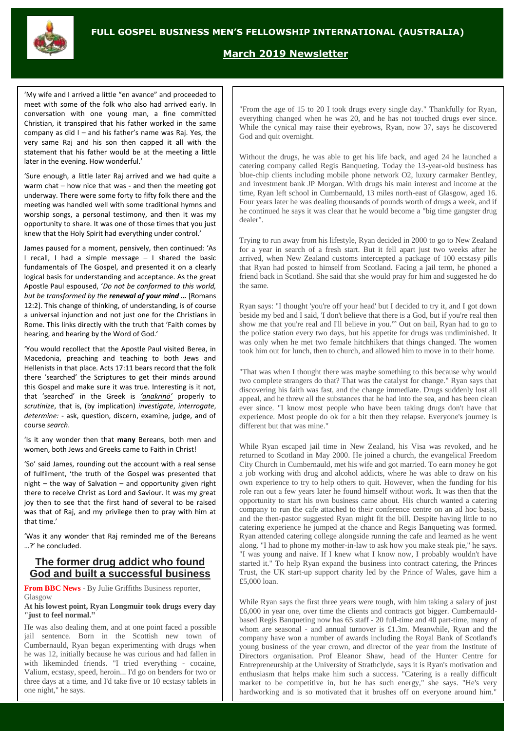

## **March 2019 Newsletter**

'My wife and I arrived a little "en avance" and proceeded to meet with some of the folk who also had arrived early. In conversation with one young man, a fine committed Christian, it transpired that his father worked in the same company as did I – and his father's name was Raj. Yes, the very same Raj and his son then capped it all with the statement that his father would be at the meeting a little later in the evening. How wonderful.'

'Sure enough, a little later Raj arrived and we had quite a warm chat – how nice that was - and then the meeting got underway. There were some forty to fifty folk there and the meeting was handled well with some traditional hymns and worship songs, a personal testimony, and then it was my opportunity to share. It was one of those times that you just knew that the Holy Spirit had everything under control.'

James paused for a moment, pensively, then continued: 'As I recall, I had a simple message – I shared the basic fundamentals of The Gospel, and presented it on a clearly logical basis for understanding and acceptance. As the great Apostle Paul espoused, '*Do not be conformed to this world, but be transformed by the renewal of your mind …* [Romans 12:2]. This change of thinking, of understanding, is of course a universal injunction and not just one for the Christians in Rome. This links directly with the truth that 'Faith comes by hearing, and hearing by the Word of God.'

'You would recollect that the Apostle Paul visited Berea, in Macedonia, preaching and teaching to both Jews and Hellenists in that place. Acts 17:11 bears record that the folk there 'searched' the Scriptures to get their minds around this Gospel and make sure it was true. Interesting is it not, that 'searched' in the Greek is *'anakrinō'* properly to *scrutinize*, that is, (by implication) *investigate*, *interrogate*, *determine:* - ask, question, discern, examine, judge, and of course *search*.

'Is it any wonder then that **many** Bereans, both men and women, both Jews and Greeks came to Faith in Christ!

'So' said James, rounding out the account with a real sense of fulfilment, 'the truth of the Gospel was presented that night – the way of Salvation – and opportunity given right there to receive Christ as Lord and Saviour. It was my great joy then to see that the first hand of several to be raised was that of Raj, and my privilege then to pray with him at that time.'

'Was it any wonder that Raj reminded me of the Bereans …?' he concluded.

## **The former drug addict who found God and built a successful business**

**From BBC News** - By Julie Griffiths Business reporter, Glasgow

**At his lowest point, Ryan Longmuir took drugs every day "just to feel normal."**

He was also dealing them, and at one point faced a possible jail sentence. Born in the Scottish new town of Cumbernauld, Ryan began experimenting with drugs when he was 12, initially because he was curious and had fallen in with likeminded friends. "I tried everything - cocaine, Valium, ecstasy, speed, heroin... I'd go on benders for two or three days at a time, and I'd take five or 10 ecstasy tablets in one night," he says.

"From the age of 15 to 20 I took drugs every single day." Thankfully for Ryan, everything changed when he was 20, and he has not touched drugs ever since. While the cynical may raise their eyebrows, Ryan, now 37, says he discovered God and quit overnight.

Without the drugs, he was able to get his life back, and aged 24 he launched a catering company called Regis Banqueting. Today the 13-year-old business has blue-chip clients including mobile phone network O2, luxury carmaker Bentley, and investment bank JP Morgan. With drugs his main interest and income at the time, Ryan left school in Cumbernauld, 13 miles north-east of Glasgow, aged 16. Four years later he was dealing thousands of pounds worth of drugs a week, and if he continued he says it was clear that he would become a "big time gangster drug dealer".

Trying to run away from his lifestyle, Ryan decided in 2000 to go to New Zealand for a year in search of a fresh start. But it fell apart just two weeks after he arrived, when New Zealand customs intercepted a package of 100 ecstasy pills that Ryan had posted to himself from Scotland. Facing a jail term, he phoned a friend back in Scotland. She said that she would pray for him and suggested he do the same.

Ryan says: "I thought 'you're off your head' but I decided to try it, and I got down beside my bed and I said, 'I don't believe that there is a God, but if you're real then show me that you're real and I'll believe in you.'" Out on bail, Ryan had to go to the police station every two days, but his appetite for drugs was undiminished. It was only when he met two female hitchhikers that things changed. The women took him out for lunch, then to church, and allowed him to move in to their home.

"That was when I thought there was maybe something to this because why would two complete strangers do that? That was the catalyst for change." Ryan says that discovering his faith was fast, and the change immediate. Drugs suddenly lost all appeal, and he threw all the substances that he had into the sea, and has been clean ever since. "I know most people who have been taking drugs don't have that experience. Most people do ok for a bit then they relapse. Everyone's journey is different but that was mine."

While Ryan escaped jail time in New Zealand, his Visa was revoked, and he returned to Scotland in May 2000. He joined a church, the evangelical Freedom City Church in Cumbernauld, met his wife and got married. To earn money he got a job working with drug and alcohol addicts, where he was able to draw on his own experience to try to help others to quit. However, when the funding for his role ran out a few years later he found himself without work. It was then that the opportunity to start his own business came about. His church wanted a catering company to run the cafe attached to their conference centre on an ad hoc basis, and the then-pastor suggested Ryan might fit the bill. Despite having little to no catering experience he jumped at the chance and Regis Banqueting was formed. Ryan attended catering college alongside running the cafe and learned as he went along. "I had to phone my mother-in-law to ask how you make steak pie," he says. "I was young and naive. If I knew what I know now, I probably wouldn't have started it." To help Ryan expand the business into contract catering, the Princes Trust, the UK start-up support charity led by the Prince of Wales, gave him a £5,000 loan.

While Ryan says the first three years were tough, with him taking a salary of just £6,000 in year one, over time the clients and contracts got bigger. Cumbernauldbased Regis Banqueting now has 65 staff - 20 full-time and 40 part-time, many of whom are seasonal - and annual turnover is £1.3m. Meanwhile, Ryan and the company have won a number of awards including the Royal Bank of Scotland's young business of the year crown, and director of the year from the Institute of Directors organisation. Prof Eleanor Shaw, head of the Hunter Centre for Entrepreneurship at the University of Strathclyde, says it is Ryan's motivation and enthusiasm that helps make him such a success. "Catering is a really difficult market to be competitive in, but he has such energy," she says. "He's very hardworking and is so motivated that it brushes off on everyone around him.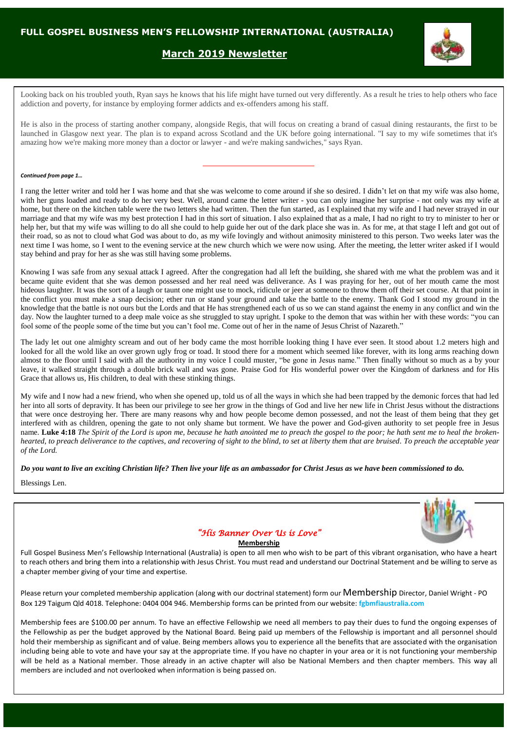## **March 2019 Newsletter**

Looking back on his troubled youth, Ryan says he knows that his life might have turned out very differently. As a result he tries to help others who face addiction and poverty, for instance by employing former addicts and ex-offenders among his staff.

He is also in the process of starting another company, alongside Regis, that will focus on creating a brand of casual dining restaurants, the first to be launched in Glasgow next year. The plan is to expand across Scotland and the UK before going international. "I say to my wife sometimes that it's amazing how we're making more money than a doctor or lawyer - and we're making sandwiches," says Ryan.

#### *Continued from page 1…*

I rang the letter writer and told her I was home and that she was welcome to come around if she so desired. I didn't let on that my wife was also home, with her guns loaded and ready to do her very best. Well, around came the letter writer - you can only imagine her surprise - not only was my wife at home, but there on the kitchen table were the two letters she had written. Then the fun started, as I explained that my wife and I had never strayed in our marriage and that my wife was my best protection I had in this sort of situation. I also explained that as a male, I had no right to try to minister to her or help her, but that my wife was willing to do all she could to help guide her out of the dark place she was in. As for me, at that stage I left and got out of their road, so as not to cloud what God was about to do, as my wife lovingly and without animosity ministered to this person. Two weeks later was the next time I was home, so I went to the evening service at the new church which we were now using. After the meeting, the letter writer asked if I would stay behind and pray for her as she was still having some problems.

Knowing I was safe from any sexual attack I agreed. After the congregation had all left the building, she shared with me what the problem was and it became quite evident that she was demon possessed and her real need was deliverance. As I was praying for her, out of her mouth came the most hideous laughter. It was the sort of a laugh or taunt one might use to mock, ridicule or jeer at someone to throw them off their set course. At that point in the conflict you must make a snap decision; ether run or stand your ground and take the battle to the enemy. Thank God I stood my ground in the knowledge that the battle is not ours but the Lords and that He has strengthened each of us so we can stand against the enemy in any conflict and win the day. Now the laughter turned to a deep male voice as she struggled to stay upright. I spoke to the demon that was within her with these words: "you can fool some of the people some of the time but you can't fool me. Come out of her in the name of Jesus Christ of Nazareth."

The lady let out one almighty scream and out of her body came the most horrible looking thing I have ever seen. It stood about 1.2 meters high and looked for all the wold like an over grown ugly frog or toad. It stood there for a moment which seemed like forever, with its long arms reaching down almost to the floor until I said with all the authority in my voice I could muster, "be gone in Jesus name." Then finally without so much as a by your leave, it walked straight through a double brick wall and was gone. Praise God for His wonderful power over the Kingdom of darkness and for His Grace that allows us, His children, to deal with these stinking things.

My wife and I now had a new friend, who when she opened up, told us of all the ways in which she had been trapped by the demonic forces that had led her into all sorts of depravity. It has been our privilege to see her grow in the things of God and live her new life in Christ Jesus without the distractions that were once destroying her. There are many reasons why and how people become demon possessed, and not the least of them being that they get interfered with as children, opening the gate to not only shame but torment. We have the power and God-given authority to set people free in Jesus name. **Luke 4:18** *The Spirit of the Lord is upon me, because he hath anointed me to preach the gospel to the poor; he hath sent me to heal the brokenhearted, to preach deliverance to the captives, and recovering of sight to the blind, to set at liberty them that are bruised. To preach the acceptable year of the Lord.* 

*Do you want to live an exciting Christian life? Then live your life as an ambassador for Christ Jesus as we have been commissioned to do.* 

Blessings Len.





**Membership**

Full Gospel Business Men's Fellowship International (Australia) is open to all men who wish to be part of this vibrant organisation, who have a heart to reach others and bring them into a relationship with Jesus Christ. You must read and understand our Doctrinal Statement and be willing to serve as a chapter member giving of your time and expertise.

Please return your completed membership application (along with our doctrinal statement) form our Membership Director, Daniel Wright - PO Box 129 Taigum Qld 4018. Telephone: 0404 004 946. Membership forms can be printed from our website: **fgbmfiaustralia.com**

Membership fees are \$100.00 per annum. To have an effective Fellowship we need all members to pay their dues to fund the ongoing expenses of the Fellowship as per the budget approved by the National Board. Being paid up members of the Fellowship is important and all personnel should hold their membership as significant and of value. Being members allows you to experience all the benefits that are associated with the organisation including being able to vote and have your say at the appropriate time. If you have no chapter in your area or it is not functioning your membership will be held as a National member. Those already in an active chapter will also be National Members and then chapter members. This way all members are included and not overlooked when information is being passed on.